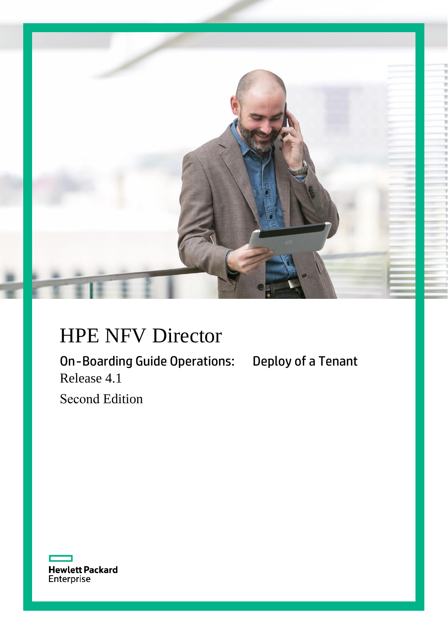

# HPE NFV Director

On-Boarding Guide Operations: Deploy of a Tenant Release 4.1

Second Edition

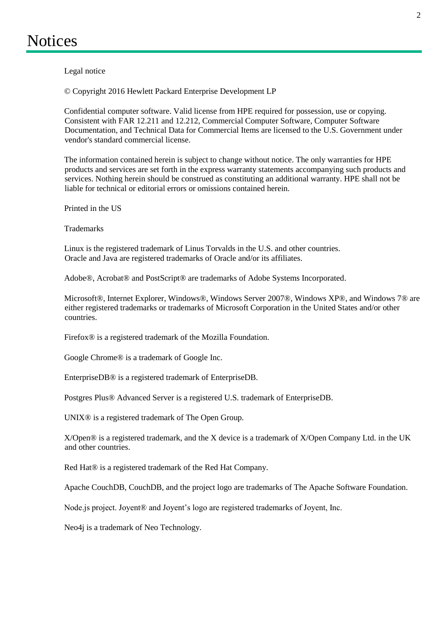<span id="page-1-0"></span>Legal notice

© Copyright 2016 Hewlett Packard Enterprise Development LP

Confidential computer software. Valid license from HPE required for possession, use or copying. Consistent with FAR 12.211 and 12.212, Commercial Computer Software, Computer Software Documentation, and Technical Data for Commercial Items are licensed to the U.S. Government under vendor's standard commercial license.

The information contained herein is subject to change without notice. The only warranties for HPE products and services are set forth in the express warranty statements accompanying such products and services. Nothing herein should be construed as constituting an additional warranty. HPE shall not be liable for technical or editorial errors or omissions contained herein.

Printed in the US

**Trademarks** 

Linux is the registered trademark of Linus Torvalds in the U.S. and other countries. Oracle and Java are registered trademarks of Oracle and/or its affiliates.

Adobe®, Acrobat® and PostScript® are trademarks of Adobe Systems Incorporated.

Microsoft®, Internet Explorer, Windows®, Windows Server 2007®, Windows XP®, and Windows 7® are either registered trademarks or trademarks of Microsoft Corporation in the United States and/or other countries.

Firefox® is a registered trademark of the Mozilla Foundation.

Google Chrome® is a trademark of Google Inc.

EnterpriseDB® is a registered trademark of EnterpriseDB.

Postgres Plus® Advanced Server is a registered U.S. trademark of EnterpriseDB.

UNIX® is a registered trademark of The Open Group.

X/Open® is a registered trademark, and the X device is a trademark of X/Open Company Ltd. in the UK and other countries.

Red Hat® is a registered trademark of the Red Hat Company.

Apache CouchDB, CouchDB, and the project logo are trademarks of The Apache Software Foundation.

Node.js project. Joyent<sup>®</sup> and Joyent's logo are registered trademarks of Joyent, Inc.

Neo4j is a trademark of Neo Technology.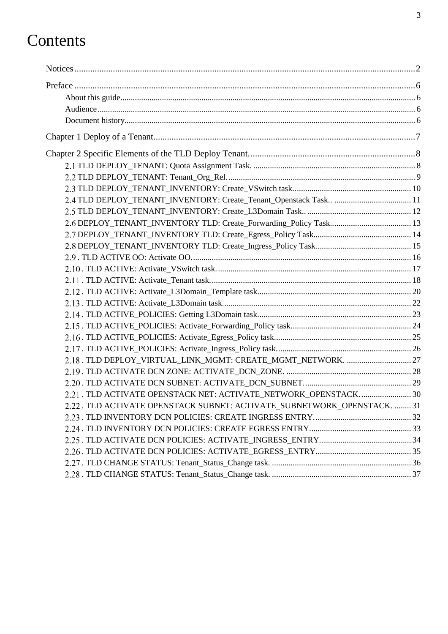# Contents

| 2.21 . TLD ACTIVATE OPENSTACK NET: ACTIVATE_NETWORK_OPENSTACK 30         |  |
|--------------------------------------------------------------------------|--|
| 2.22 . TLD ACTIVATE OPENSTACK SUBNET: ACTIVATE_SUBNETWORK_OPENSTACK.  31 |  |
|                                                                          |  |
|                                                                          |  |
|                                                                          |  |
|                                                                          |  |
|                                                                          |  |
|                                                                          |  |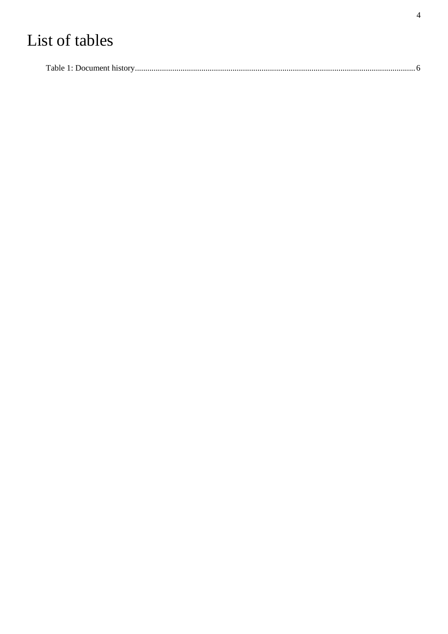# List of tables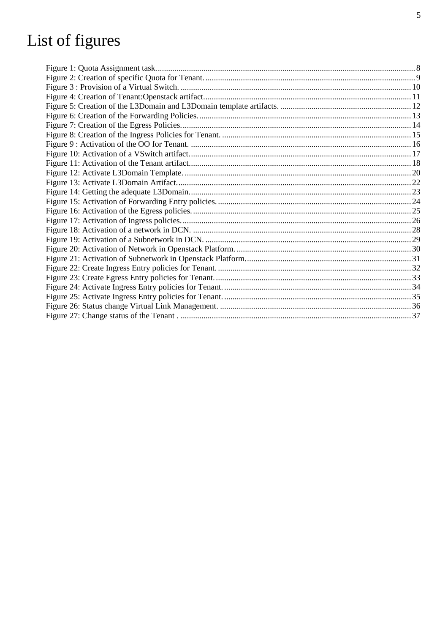# List of figures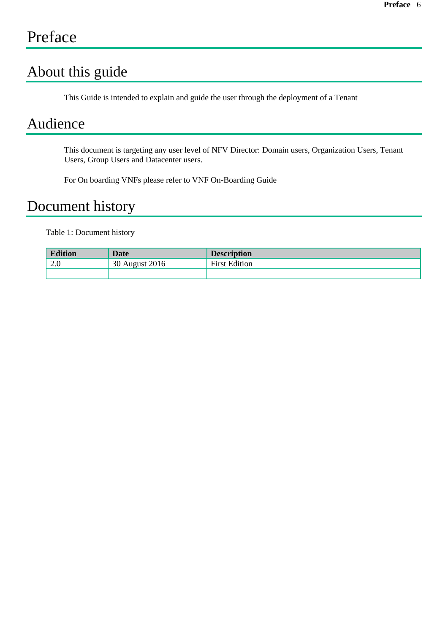## <span id="page-5-0"></span>Preface

### <span id="page-5-1"></span>About this guide

This Guide is intended to explain and guide the user through the deployment of a Tenant

### <span id="page-5-2"></span>Audience

This document is targeting any user level of NFV Director: Domain users, Organization Users, Tenant Users, Group Users and Datacenter users.

For On boarding VNFs please refer to VNF On-Boarding Guide

### <span id="page-5-3"></span>Document history

<span id="page-5-4"></span>Table 1: Document history

| <b>Edition</b> | Date           | <b>Description</b>   |
|----------------|----------------|----------------------|
| 2.0            | 30 August 2016 | <b>First Edition</b> |
|                |                |                      |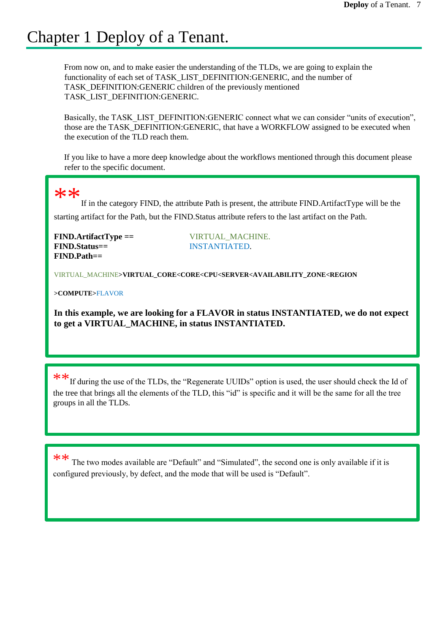## <span id="page-6-0"></span>Chapter 1 Deploy of a Tenant.

From now on, and to make easier the understanding of the TLDs, we are going to explain the functionality of each set of TASK\_LIST\_DEFINITION:GENERIC, and the number of TASK\_DEFINITION:GENERIC children of the previously mentioned TASK\_LIST\_DEFINITION:GENERIC.

Basically, the TASK\_LIST\_DEFINITION:GENERIC connect what we can consider "units of execution", those are the TASK\_DEFINITION:GENERIC, that have a WORKFLOW assigned to be executed when the execution of the TLD reach them.

If you like to have a more deep knowledge about the workflows mentioned through this document please refer to the specific document.

### $**$

If in the category FIND, the attribute Path is present, the attribute FIND.ArtifactType will be the starting artifact for the Path, but the FIND.Status attribute refers to the last artifact on the Path.

**FIND.ArtifactType ==** VIRTUAL\_MACHINE. **FIND.Status==** INSTANTIATED. **FIND.Path==**

VIRTUAL\_MACHINE**>VIRTUAL\_CORE<CORE<CPU<SERVER<AVAILABILITY\_ZONE<REGION**

**>COMPUTE>**FLAVOR

**In this example, we are looking for a FLAVOR in status INSTANTIATED, we do not expect to get a VIRTUAL\_MACHINE, in status INSTANTIATED.**

\*\*If during the use of the TLDs, the "Regenerate UUIDs" option is used, the user should check the Id of the tree that brings all the elements of the TLD, this "id" is specific and it will be the same for all the tree groups in all the TLDs.

\*\* The two modes available are "Default" and "Simulated", the second one is only available if it is configured previously, by defect, and the mode that will be used is "Default".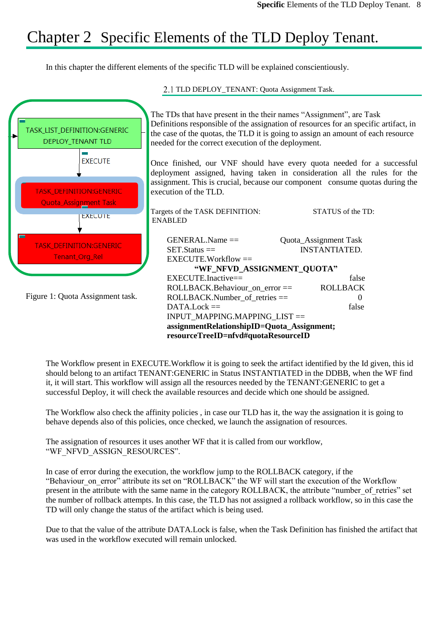## Chapter 2 Specific Elements of the TLD Deploy Tenant.

<span id="page-7-1"></span><span id="page-7-0"></span>In this chapter the different elements of the specific TLD will be explained conscientiously.



The Workflow present in EXECUTE.Workflow it is going to seek the artifact identified by the Id given, this id should belong to an artifact TENANT:GENERIC in Status INSTANTIATED in the DDBB, when the WF find it, it will start. This workflow will assign all the resources needed by the TENANT:GENERIC to get a successful Deploy, it will check the available resources and decide which one should be assigned.

The Workflow also check the affinity policies , in case our TLD has it, the way the assignation it is going to behave depends also of this policies, once checked, we launch the assignation of resources.

The assignation of resources it uses another WF that it is called from our workflow, "WF\_NFVD\_ASSIGN\_RESOURCES".

In case of error during the execution, the workflow jump to the ROLLBACK category, if the "Behaviour on error" attribute its set on "ROLLBACK" the WF will start the execution of the Workflow present in the attribute with the same name in the category ROLLBACK, the attribute "number\_of\_retries" set the number of rollback attempts. In this case, the TLD has not assigned a rollback workflow, so in this case the TD will only change the status of the artifact which is being used.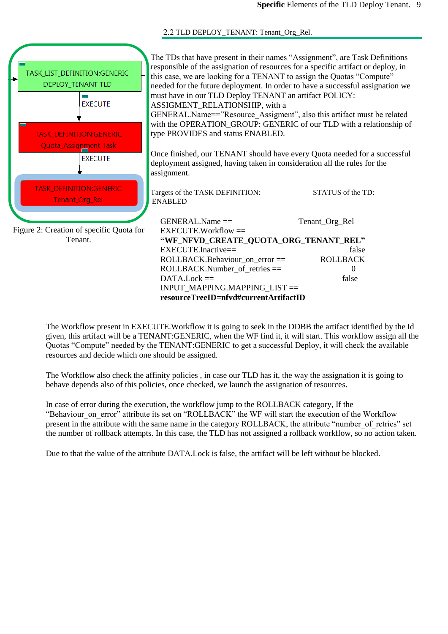2.2 TLD DEPLOY\_TENANT: Tenant\_Org\_Rel.

<span id="page-8-0"></span>

| TASK_LIST_DEFINITION:GENERIC<br>DEPLOY_TENANT TLD | The TDs that have present in their names "Assignment", are Task Definitions<br>responsible of the assignation of resources for a specific artifact or deploy, in<br>this case, we are looking for a TENANT to assign the Quotas "Compute"<br>needed for the future deployment. In order to have a successful assignation we |                      |
|---------------------------------------------------|-----------------------------------------------------------------------------------------------------------------------------------------------------------------------------------------------------------------------------------------------------------------------------------------------------------------------------|----------------------|
| <b>EXECUTE</b>                                    | must have in our TLD Deploy TENANT an artifact POLICY:                                                                                                                                                                                                                                                                      |                      |
|                                                   | ASSIGMENT_RELATIONSHIP, with a<br>GENERAL.Name=="Resource Assigment", also this artifact must be related                                                                                                                                                                                                                    |                      |
|                                                   | with the OPERATION_GROUP: GENERIC of our TLD with a relationship of                                                                                                                                                                                                                                                         |                      |
| TASK_DEFINITION:GENERIC                           | type PROVIDES and status ENABLED.                                                                                                                                                                                                                                                                                           |                      |
| <b>Quota_Assignment Task</b>                      |                                                                                                                                                                                                                                                                                                                             |                      |
| <b>EXECUTE</b>                                    | Once finished, our TENANT should have every Quota needed for a successful                                                                                                                                                                                                                                                   |                      |
|                                                   | deployment assigned, having taken in consideration all the rules for the<br>assignment.                                                                                                                                                                                                                                     |                      |
| <b>TASK_DEFINITION:GENERIC</b><br>Tenant_Org_Rel  | Targets of the TASK DEFINITION:<br><b>ENABLED</b>                                                                                                                                                                                                                                                                           | STATUS of the TD:    |
|                                                   | $GENERAL.Name ==$                                                                                                                                                                                                                                                                                                           | Tenant_Org_Rel       |
| Figure 2: Creation of specific Quota for          | $EXECUTE. Workflow =$                                                                                                                                                                                                                                                                                                       |                      |
| Tenant.                                           | "WF_NFVD_CREATE_QUOTA_ORG_TENANT_REL"                                                                                                                                                                                                                                                                                       |                      |
|                                                   | EXECUTE.Inactive==                                                                                                                                                                                                                                                                                                          | false                |
|                                                   | ROLLBACK.Behaviour_on_error ==<br>$ROLLBACK.Number_of_retries =$                                                                                                                                                                                                                                                            | <b>ROLLBACK</b><br>0 |
|                                                   | $DATA. Lock ==$                                                                                                                                                                                                                                                                                                             | false                |
|                                                   | INPUT_MAPPING.MAPPING_LIST ==                                                                                                                                                                                                                                                                                               |                      |
|                                                   | resourceTreeID=nfvd#currentArtifactID                                                                                                                                                                                                                                                                                       |                      |

The Workflow present in EXECUTE.Workflow it is going to seek in the DDBB the artifact identified by the Id given, this artifact will be a TENANT:GENERIC, when the WF find it, it will start. This workflow assign all the Quotas "Compute" needed by the TENANT:GENERIC to get a successful Deploy, it will check the available resources and decide which one should be assigned.

The Workflow also check the affinity policies , in case our TLD has it, the way the assignation it is going to behave depends also of this policies, once checked, we launch the assignation of resources.

In case of error during the execution, the workflow jump to the ROLLBACK category, If the "Behaviour\_on\_error" attribute its set on "ROLLBACK" the WF will start the execution of the Workflow present in the attribute with the same name in the category ROLLBACK, the attribute "number of retries" set the number of rollback attempts. In this case, the TLD has not assigned a rollback workflow, so no action taken.

Due to that the value of the attribute DATA.Lock is false, the artifact will be left without be blocked.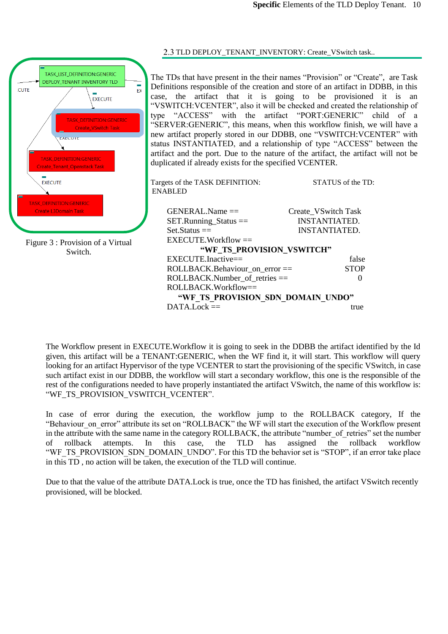



<span id="page-9-0"></span>2.3 TLD DEPLOY\_TENANT\_INVENTORY: Create\_VSwitch task..

The TDs that have present in the their names "Provision" or "Create", are Task Definitions responsible of the creation and store of an artifact in DDBB, in this case, the artifact that it is going to be provisioned it is an "VSWITCH: VCENTER", also it will be checked and created the relationship of type "ACCESS" with the artifact "PORT: GENERIC" child of a "ACCESS" with the artifact "PORT:GENERIC" child of a "SERVER:GENERIC", this means, when this workflow finish, we will have a new artifact properly stored in our DDBB, one "VSWITCH:VCENTER" with status INSTANTIATED, and a relationship of type "ACCESS" between the artifact and the port. Due to the nature of the artifact, the artifact will not be duplicated if already exists for the specified VCENTER.

Targets of the TASK DEFINITION: STATUS of the TD: ENABLED GENERAL.Name == Create\_VSwitch Task<br>SET.Running Status == INSTANTIATED.  $SET.R$ unning  $Status =$ Set.Status == INSTANTIATED. EXECUTE.Workflow == **"WF\_TS\_PROVISION\_VSWITCH"** EXECUTE.Inactive== false ROLLBACK.Behaviour\_on\_error == STOP ROLLBACK.Number of retries  $==$  0 ROLLBACK.Workflow== **"WF\_TS\_PROVISION\_SDN\_DOMAIN\_UNDO"**  $DATA.Lock ==$ 

The Workflow present in EXECUTE.Workflow it is going to seek in the DDBB the artifact identified by the Id given, this artifact will be a TENANT:GENERIC, when the WF find it, it will start. This workflow will query looking for an artifact Hypervisor of the type VCENTER to start the provisioning of the specific VSwitch, in case such artifact exist in our DDBB, the workflow will start a secondary workflow, this one is the responsible of the rest of the configurations needed to have properly instantiated the artifact VSwitch, the name of this workflow is: "WF\_TS\_PROVISION\_VSWITCH\_VCENTER".

In case of error during the execution, the workflow jump to the ROLLBACK category, If the "Behaviour on error" attribute its set on "ROLLBACK" the WF will start the execution of the Workflow present in the attribute with the same name in the category ROLLBACK, the attribute "number of retries" set the number of rollback attempts. In this case, the TLD has assigned the rollback workflow "WF\_TS\_PROVISION\_SDN\_DOMAIN\_UNDO". For this TD the behavior set is "STOP", if an error take place in this TD , no action will be taken, the execution of the TLD will continue.

Due to that the value of the attribute DATA.Lock is true, once the TD has finished, the artifact VSwitch recently provisioned, will be blocked.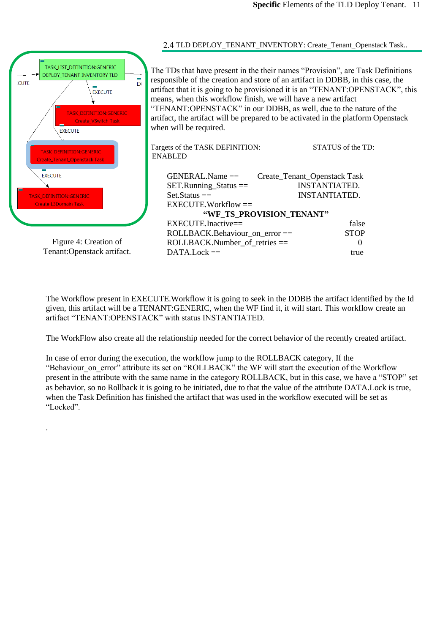| TASK LIST DEFINITION:GENERIC<br><b>DEPLOY TENANT INVENTORY TLD</b><br><b>FX</b><br><b>CUTE</b><br><b>EXECUTE</b><br><b>TASK DEFINITION:GENERIC</b><br><b>Create VSwitch Task</b><br><b>EXECUTE</b><br><b>TASK DEFINITION:GENERIC</b><br><b>Create_Tenant_Openstack Task</b> | The TDs that have present in the their names "Provision", are Task Definitions<br>responsible of the creation and store of an artifact in DDBB, in this case, the<br>artifact that it is going to be provisioned it is an "TENANT:OPENSTACK", this<br>means, when this workflow finish, we will have a new artifact<br>"TENANT:OPENSTACK" in our DDBB, as well, due to the nature of the<br>artifact, the artifact will be prepared to be activated in the platform Openstack<br>when will be required.<br>Targets of the TASK DEFINITION:<br><b>ENABLED</b> | STATUS of the TD:                                                                     |
|-----------------------------------------------------------------------------------------------------------------------------------------------------------------------------------------------------------------------------------------------------------------------------|--------------------------------------------------------------------------------------------------------------------------------------------------------------------------------------------------------------------------------------------------------------------------------------------------------------------------------------------------------------------------------------------------------------------------------------------------------------------------------------------------------------------------------------------------------------|---------------------------------------------------------------------------------------|
| <b>EXECUTE</b><br><b>TASK DEFINITION:GENERIC</b><br><b>Create L3Domain Task</b>                                                                                                                                                                                             | $GENERAL.Name ==$<br>$SET.R$ unning $Status ==$<br>$Set.Status =$<br>$EXECUTE. Workflow =$<br>"WF_TS_PROVISION_TENANT"<br>EXECUTE.Inactive==                                                                                                                                                                                                                                                                                                                                                                                                                 | Create_Tenant_Openstack Task<br><b>INSTANTIATED.</b><br><b>INSTANTIATED.</b><br>false |
| Figure 4: Creation of<br>Tenant:Openstack artifact.                                                                                                                                                                                                                         | ROLLBACK.Behaviour_on_error ==<br>$ROLLBACK.Number$ of retries $==$<br>$DATA.Lock ==$                                                                                                                                                                                                                                                                                                                                                                                                                                                                        | <b>STOP</b><br>$\theta$<br>true                                                       |

The Workflow present in EXECUTE.Workflow it is going to seek in the DDBB the artifact identified by the Id given, this artifact will be a TENANT:GENERIC, when the WF find it, it will start. This workflow create an artifact "TENANT:OPENSTACK" with status INSTANTIATED.

The WorkFlow also create all the relationship needed for the correct behavior of the recently created artifact.

In case of error during the execution, the workflow jump to the ROLLBACK category, If the "Behaviour on error" attribute its set on "ROLLBACK" the WF will start the execution of the Workflow present in the attribute with the same name in the category ROLLBACK, but in this case, we have a "STOP" set as behavior, so no Rollback it is going to be initiated, due to that the value of the attribute DATA.Lock is true, when the Task Definition has finished the artifact that was used in the workflow executed will be set as "Locked".

.

### <span id="page-10-0"></span>2.4 TLD DEPLOY\_TENANT\_INVENTORY: Create\_Tenant\_Openstack Task..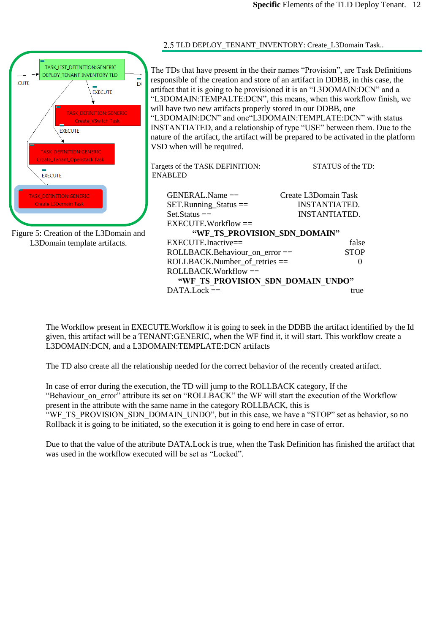<span id="page-11-0"></span>

The Workflow present in EXECUTE.Workflow it is going to seek in the DDBB the artifact identified by the Id given, this artifact will be a TENANT:GENERIC, when the WF find it, it will start. This workflow create a L3DOMAIN:DCN, and a L3DOMAIN:TEMPLATE:DCN artifacts

The TD also create all the relationship needed for the correct behavior of the recently created artifact.

In case of error during the execution, the TD will jump to the ROLLBACK category, If the "Behaviour on error" attribute its set on "ROLLBACK" the WF will start the execution of the Workflow present in the attribute with the same name in the category ROLLBACK, this is "WF\_TS\_PROVISION\_SDN\_DOMAIN\_UNDO", but in this case, we have a "STOP" set as behavior, so no Rollback it is going to be initiated, so the execution it is going to end here in case of error.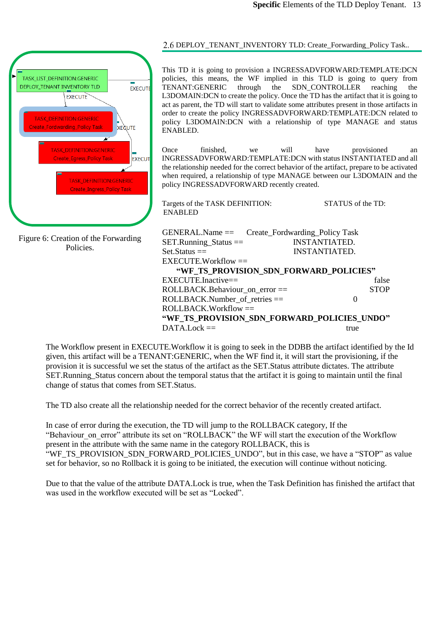

Figure 6: Creation of the Forwarding Policies.

### <span id="page-12-0"></span>2.6 DEPLOY\_TENANT\_INVENTORY TLD: Create\_Forwarding\_Policy Task..

This TD it is going to provision a INGRESSADVFORWARD:TEMPLATE:DCN policies, this means, the WF implied in this TLD is going to query from TENANT:GENERIC through the SDN CONTROLLER reaching the TENANT:GENERIC through the SDN\_CONTROLLER reaching the L3DOMAIN:DCN to create the policy. Once the TD has the artifact that it is going to act as parent, the TD will start to validate some attributes present in those artifacts in order to create the policy INGRESSADVFORWARD:TEMPLATE:DCN related to policy L3DOMAIN:DCN with a relationship of type MANAGE and status ENABLED.

Once finished, we will have provisioned an INGRESSADVFORWARD:TEMPLATE:DCN with status INSTANTIATED and all the relationship needed for the correct behavior of the artifact, prepare to be activated when required, a relationship of type MANAGE between our L3DOMAIN and the policy INGRESSADVFORWARD recently created.

| Targets of the TASK DEFINITION:<br><b>ENABLED</b> | STATUS of the TD:    |
|---------------------------------------------------|----------------------|
| $GENERAL.Name ==$ Create_Fordwarding_Policy Task  |                      |
| $SET.R$ unning_Status ==                          | <b>INSTANTIATED.</b> |
| $Set$ . Status $==$                               | INSTANTIATED.        |
| $EXECTTE. Work flow =$                            |                      |
| "WF TS PROVISION SDN FORWARD POLICIES"            |                      |
| $EXECTITE Inactive =$                             | false                |
| ROLLBACK.Behaviour_on_error ==                    | <b>STOP</b>          |
| $ROLLBACK.Number$ of retries $==$                 | $\mathbf{\Omega}$    |
| $ROLLBACK. Workflow =$                            |                      |
| "WF TS PROVISION SDN FORWARD POLICIES UNDO"       |                      |
| DATA Lock $==$                                    | true                 |

The Workflow present in EXECUTE.Workflow it is going to seek in the DDBB the artifact identified by the Id given, this artifact will be a TENANT:GENERIC, when the WF find it, it will start the provisioning, if the provision it is successful we set the status of the artifact as the SET.Status attribute dictates. The attribute SET.Running\_Status concern about the temporal status that the artifact it is going to maintain until the final change of status that comes from SET.Status.

The TD also create all the relationship needed for the correct behavior of the recently created artifact.

In case of error during the execution, the TD will jump to the ROLLBACK category, If the "Behaviour on error" attribute its set on "ROLLBACK" the WF will start the execution of the Workflow present in the attribute with the same name in the category ROLLBACK, this is "WF\_TS\_PROVISION\_SDN\_FORWARD\_POLICIES\_UNDO", but in this case, we have a "STOP" as value set for behavior, so no Rollback it is going to be initiated, the execution will continue without noticing.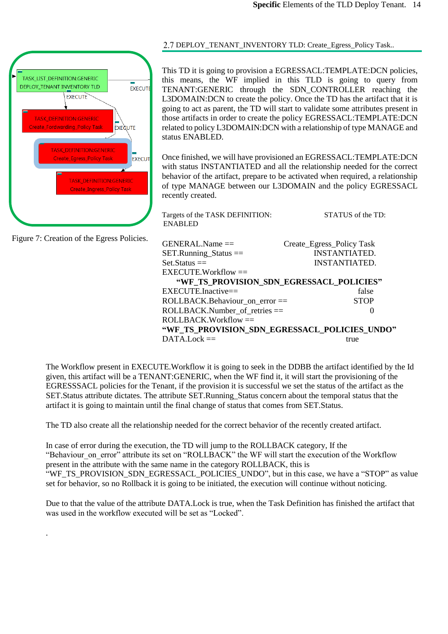

Figure 7: Creation of the Egress Policies.

.

### <span id="page-13-0"></span>DEPLOY\_TENANT\_INVENTORY TLD: Create\_Egress\_Policy Task..

This TD it is going to provision a EGRESSACL:TEMPLATE:DCN policies, this means, the WF implied in this TLD is going to query from TENANT:GENERIC through the SDN\_CONTROLLER reaching the L3DOMAIN:DCN to create the policy. Once the TD has the artifact that it is going to act as parent, the TD will start to validate some attributes present in those artifacts in order to create the policy EGRESSACL:TEMPLATE:DCN related to policy L3DOMAIN:DCN with a relationship of type MANAGE and status ENABLED.

Once finished, we will have provisioned an EGRESSACL:TEMPLATE:DCN with status INSTANTIATED and all the relationship needed for the correct behavior of the artifact, prepare to be activated when required, a relationship of type MANAGE between our L3DOMAIN and the policy EGRESSACL recently created.

Targets of the TASK DEFINITION: STATUS of the TD: ENABLED

 ROLLBACK.Behaviour\_on\_error == STOP GENERAL.Name == Create\_Egress\_Policy Task SET.Running Status == INSTANTIATED. Set.Status == INSTANTIATED.  $EXECUTE.Workflow =$ **"WF\_TS\_PROVISION\_SDN\_EGRESSACL\_POLICIES"** EXECUTE.Inactive== false  $\text{ROLLBACK}$ . Number of retries  $==$  0 ROLLBACK.Workflow == **"WF\_TS\_PROVISION\_SDN\_EGRESSACL\_POLICIES\_UNDO"**  $DATA.Lock ==$ 

The Workflow present in EXECUTE.Workflow it is going to seek in the DDBB the artifact identified by the Id given, this artifact will be a TENANT:GENERIC, when the WF find it, it will start the provisioning of the EGRESSSACL policies for the Tenant, if the provision it is successful we set the status of the artifact as the SET.Status attribute dictates. The attribute SET.Running\_Status concern about the temporal status that the artifact it is going to maintain until the final change of status that comes from SET.Status.

The TD also create all the relationship needed for the correct behavior of the recently created artifact.

In case of error during the execution, the TD will jump to the ROLLBACK category, If the "Behaviour on error" attribute its set on "ROLLBACK" the WF will start the execution of the Workflow present in the attribute with the same name in the category ROLLBACK, this is "WF\_TS\_PROVISION\_SDN\_EGRESSACL\_POLICIES\_UNDO", but in this case, we have a "STOP" as value set for behavior, so no Rollback it is going to be initiated, the execution will continue without noticing.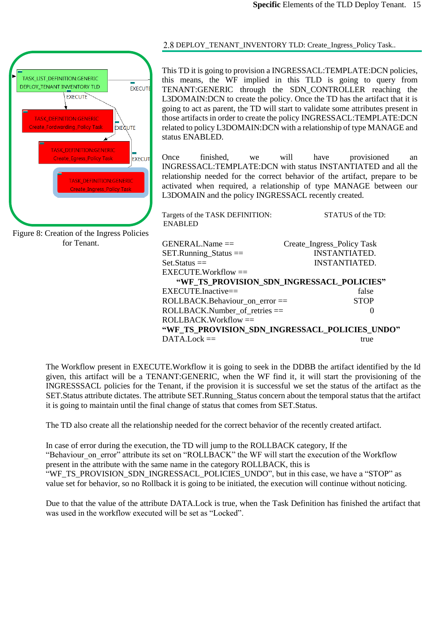

Figure 8: Creation of the Ingress Policies for Tenant.

### <span id="page-14-0"></span>DEPLOY\_TENANT\_INVENTORY TLD: Create\_Ingress\_Policy Task..

This TD it is going to provision a INGRESSACL:TEMPLATE:DCN policies, this means, the WF implied in this TLD is going to query from TENANT:GENERIC through the SDN\_CONTROLLER reaching the L3DOMAIN:DCN to create the policy. Once the TD has the artifact that it is going to act as parent, the TD will start to validate some attributes present in those artifacts in order to create the policy INGRESSACL:TEMPLATE:DCN related to policy L3DOMAIN:DCN with a relationship of type MANAGE and status ENABLED.

Once finished, we will have provisioned an INGRESSACL:TEMPLATE:DCN with status INSTANTIATED and all the relationship needed for the correct behavior of the artifact, prepare to be activated when required, a relationship of type MANAGE between our L3DOMAIN and the policy INGRESSACL recently created.

Targets of the TASK DEFINITION: STATUS of the TD: ENABLED

| $GENERAL.Name ==$                              | Create_Ingress_Policy Task                |
|------------------------------------------------|-------------------------------------------|
| $SET.R$ unning_Status ==                       | <b>INSTANTIATED.</b>                      |
| $Set. Status =$                                | <b>INSTANTIATED.</b>                      |
| $EXECUTE. Workflow =$                          |                                           |
|                                                | "WF TS PROVISION SDN INGRESSACL POLICIES" |
| $EXECTTE$ Inactive==                           | false                                     |
| ROLLBACK.Behaviour on error ==                 | <b>STOP</b>                               |
| $ROLLBACK.Number$ of retries $==$              | $\theta$                                  |
| $ROLLBACK.Workflow =$                          |                                           |
| "WF TS PROVISION SDN INGRESSACL POLICIES UNDO" |                                           |
| $DATA. Lock ==$                                | true                                      |
|                                                |                                           |

The Workflow present in EXECUTE.Workflow it is going to seek in the DDBB the artifact identified by the Id given, this artifact will be a TENANT:GENERIC, when the WF find it, it will start the provisioning of the INGRESSSACL policies for the Tenant, if the provision it is successful we set the status of the artifact as the SET.Status attribute dictates. The attribute SET.Running\_Status concern about the temporal status that the artifact it is going to maintain until the final change of status that comes from SET.Status.

The TD also create all the relationship needed for the correct behavior of the recently created artifact.

In case of error during the execution, the TD will jump to the ROLLBACK category, If the "Behaviour on error" attribute its set on "ROLLBACK" the WF will start the execution of the Workflow present in the attribute with the same name in the category ROLLBACK, this is "WF\_TS\_PROVISION\_SDN\_INGRESSACL\_POLICIES\_UNDO", but in this case, we have a "STOP" as value set for behavior, so no Rollback it is going to be initiated, the execution will continue without noticing.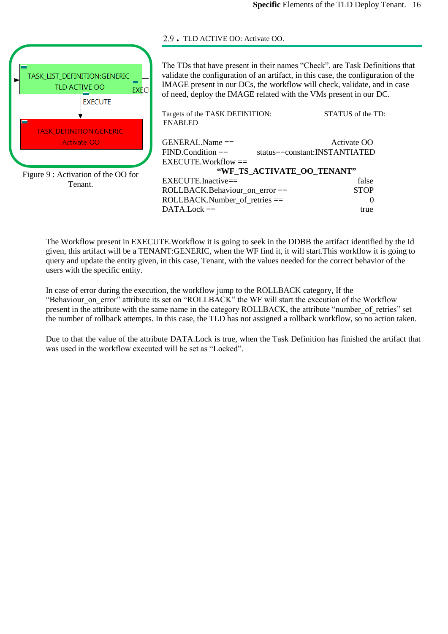

Figure 9 : Activation of the OO for Tenant.

### <span id="page-15-0"></span>. TLD ACTIVE OO: Activate OO.

The TDs that have present in their names "Check", are Task Definitions that validate the configuration of an artifact, in this case, the configuration of the IMAGE present in our DCs, the workflow will check, validate, and in case of need, deploy the IMAGE related with the VMs present in our DC.

| Targets of the TASK DEFINITION:<br><b>ENABLED</b> | STATUS of the TD:             |
|---------------------------------------------------|-------------------------------|
| $GENERAL.Name ==$                                 | Activate OO                   |
| $FIND. Condition =$                               | status==constant:INSTANTIATED |
| $EXECTTE. Work flow =$                            |                               |
|                                                   | "WF TS ACTIVATE OO TENANT"    |
| EXECUTE.Inactive==                                | false                         |
| ROLLBACK.Behaviour_on_error ==                    | <b>STOP</b>                   |
| $ROLLBACK.Number$ of retries $==$                 | 0                             |
| $DATA.Lock ==$                                    | true                          |

The Workflow present in EXECUTE.Workflow it is going to seek in the DDBB the artifact identified by the Id given, this artifact will be a TENANT:GENERIC, when the WF find it, it will start.This workflow it is going to query and update the entity given, in this case, Tenant, with the values needed for the correct behavior of the users with the specific entity.

In case of error during the execution, the workflow jump to the ROLLBACK category, If the "Behaviour\_on\_error" attribute its set on "ROLLBACK" the WF will start the execution of the Workflow present in the attribute with the same name in the category ROLLBACK, the attribute "number of retries" set the number of rollback attempts. In this case, the TLD has not assigned a rollback workflow, so no action taken.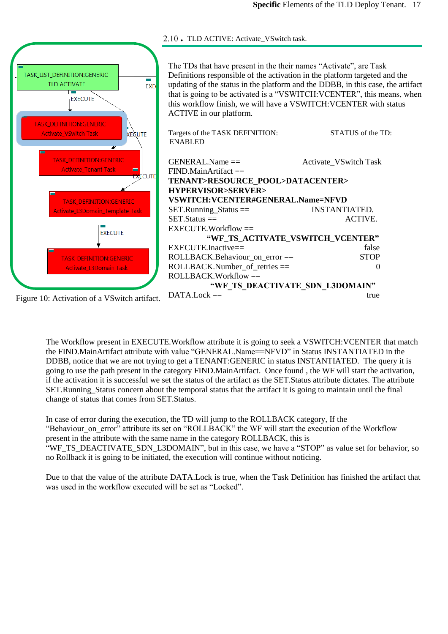

<span id="page-16-0"></span>2.10 • TLD ACTIVE: Activate\_VSwitch task.

The Workflow present in EXECUTE.Workflow attribute it is going to seek a VSWITCH:VCENTER that match the FIND.MainArtifact attribute with value "GENERAL.Name==NFVD" in Status INSTANTIATED in the DDBB, notice that we are not trying to get a TENANT:GENERIC in status INSTANTIATED. The query it is going to use the path present in the category FIND.MainArtifact. Once found , the WF will start the activation, if the activation it is successful we set the status of the artifact as the SET.Status attribute dictates. The attribute SET.Running\_Status concern about the temporal status that the artifact it is going to maintain until the final

change of status that comes from SET.Status.

In case of error during the execution, the TD will jump to the ROLLBACK category, If the "Behaviour on error" attribute its set on "ROLLBACK" the WF will start the execution of the Workflow present in the attribute with the same name in the category ROLLBACK, this is

"WF\_TS\_DEACTIVATE\_SDN\_L3DOMAIN", but in this case, we have a "STOP" as value set for behavior, so no Rollback it is going to be initiated, the execution will continue without noticing.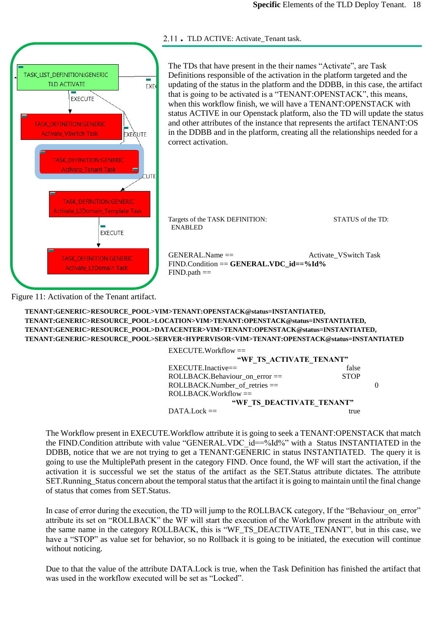<span id="page-17-0"></span>



Figure 11: Activation of the Tenant artifact.

SETTER/VIN/TENANTIJD ENSTAUR STATUS == INSTANTIATED.<br>UED. HUDDELIGOD. UEL EDALAET ODDUCE LOVO (L. ... ...) SET.Status == ACTIVE. **TENANT:GENERIC>RESOURCE\_POOL>SERVER<HYPERVISOR<VIM>TENANT:OPENSTACK@status=INSTANTIATEDTENANT:GENERIC>RESOURCE\_POOL>VIM>TENANT:OPENSTACK@status=INSTANTIATED, TENANT:GENERIC>RESOURCE\_POOL>LOCATION>VIM>TENANT:OPENSTACK@status=INSTANTIATED, TENANT:GENERIC>RESOURCE\_POOL>DATACENTER>VIM>TENANT:OPENSTACK@status=INSTANTIATED,**

| $EXECUTE. Workflow =$             |             |  |
|-----------------------------------|-------------|--|
| "WE TS ACTIVATE TENANT"           |             |  |
| $EXECTTE-Inactive =$              | false       |  |
| ROLLBACK.Behaviour_on_error ==    | <b>STOP</b> |  |
| $ROLLBACK.Number$ of retries $==$ |             |  |
| $ROLLBACK.Workflow =$             |             |  |
| "WF TS DEACTIVATE TENANT"         |             |  |
| $DATALock =$                      | true        |  |

The Workflow present in EXECUTE.Workflow attribute it is going to seek a TENANT:OPENSTACK that match the FIND.Condition attribute with value "GENERAL.VDC id==%Id%" with a Status INSTANTIATED in the DDBB, notice that we are not trying to get a TENANT:GENERIC in status INSTANTIATED. The query it is going to use the MultiplePath present in the category FIND. Once found, the WF will start the activation, if the activation it is successful we set the status of the artifact as the SET.Status attribute dictates. The attribute SET.Running\_Status concern about the temporal status that the artifact it is going to maintain until the final change of status that comes from SET.Status.

In case of error during the execution, the TD will jump to the ROLLBACK category, If the "Behaviour" on error" attribute its set on "ROLLBACK" the WF will start the execution of the Workflow present in the attribute with the same name in the category ROLLBACK, this is "WF\_TS\_DEACTIVATE\_TENANT", but in this case, we have a "STOP" as value set for behavior, so no Rollback it is going to be initiated, the execution will continue without noticing.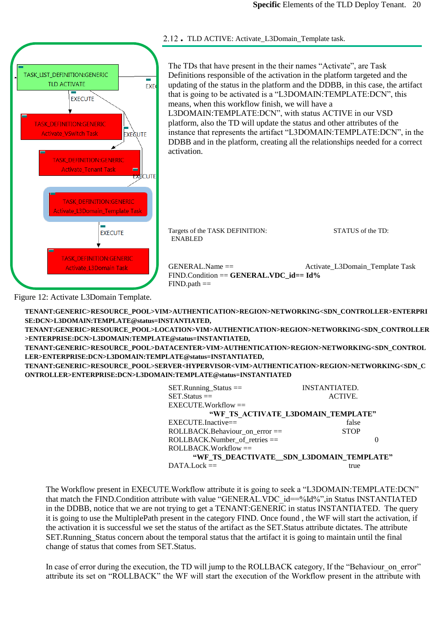<span id="page-19-0"></span>

Figure 12: Activate L3Domain Template.

 **TENANT:GENERIC>RESOURCE\_POOL>SERVER<HYPERVISOR<VIM>AUTHENTICATION>REGION>NETWORKING<SDN\_C TENANT:GENERIC>RESOURCE\_POOL>VIM>AUTHENTICATION>REGION>NETWORKING<SDN\_CONTROLLER>ENTERPRI SE:DCN>L3DOMAIN:TEMPLATE@status=INSTANTIATED, TENANT:GENERIC>RESOURCE\_POOL>LOCATION>VIM>AUTHENTICATION>REGION>NETWORKING<SDN\_CONTROLLER >ENTERPRISE:DCN>L3DOMAIN:TEMPLATE@status=INSTANTIATED, TENANT:GENERIC>RESOURCE\_POOL>DATACENTER>VIM>AUTHENTICATION>REGION>NETWORKING<SDN\_CONTROL LER>ENTERPRISE:DCN>L3DOMAIN:TEMPLATE@status=INSTANTIATED, ONTROLLER>ENTERPRISE:DCN>L3DOMAIN:TEMPLATE@status=INSTANTIATED**

| $SET.Ranning_Status ==$           | <b>INSTANTIATED.</b>                     |
|-----------------------------------|------------------------------------------|
| $SET. Status =$                   | ACTIVE.                                  |
| $EXECIITE.Workflow =$             |                                          |
|                                   | "WF TS ACTIVATE L3DOMAIN_TEMPLATE"       |
| $EXECUTE$ . Inactive==            | false                                    |
| ROLLBACK.Behaviour on error ==    | <b>STOP</b>                              |
| $ROLLBACK.Number$ of retries $==$ |                                          |
| $ROLLBACK.Workflow =$             |                                          |
|                                   | "WF TS DEACTIVATE_SDN_L3DOMAIN_TEMPLATE" |
| $DATA.Lock =$                     | true                                     |
|                                   |                                          |

The Workflow present in EXECUTE.Workflow attribute it is going to seek a "L3DOMAIN:TEMPLATE:DCN" that match the FIND.Condition attribute with value "GENERAL.VDC id==%Id%", in Status INSTANTIATED in the DDBB, notice that we are not trying to get a TENANT:GENERIC in status INSTANTIATED. The query it is going to use the MultiplePath present in the category FIND. Once found , the WF will start the activation, if the activation it is successful we set the status of the artifact as the SET.Status attribute dictates. The attribute SET.Running\_Status concern about the temporal status that the artifact it is going to maintain until the final change of status that comes from SET.Status.

In case of error during the execution, the TD will jump to the ROLLBACK category, If the "Behaviour" on error" attribute its set on "ROLLBACK" the WF will start the execution of the Workflow present in the attribute with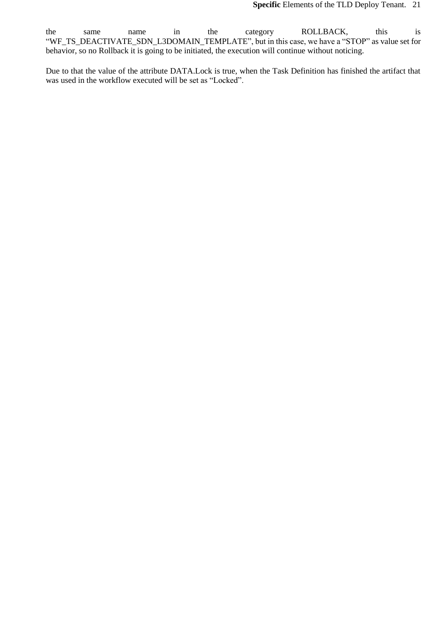the same name in the category ROLLBACK, this is "WF\_TS\_DEACTIVATE\_SDN\_L3DOMAIN\_TEMPLATE", but in this case, we have a "STOP" as value set for behavior, so no Rollback it is going to be initiated, the execution will continue without noticing.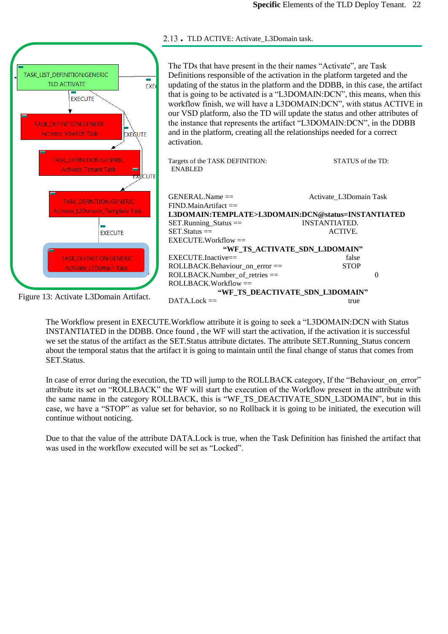<span id="page-21-0"></span>

The Workflow present in EXECUTE.Workflow attribute it is going to seek a "L3DOMAIN:DCN with Status INSTANTIATED in the DDBB. Once found , the WF will start the activation, if the activation it is successful we set the status of the artifact as the SET.Status attribute dictates. The attribute SET.Running\_Status concern about the temporal status that the artifact it is going to maintain until the final change of status that comes from SET.Status.

In case of error during the execution, the TD will jump to the ROLLBACK category, If the "Behaviour" on error" attribute its set on "ROLLBACK" the WF will start the execution of the Workflow present in the attribute with the same name in the category ROLLBACK, this is "WF\_TS\_DEACTIVATE\_SDN\_L3DOMAIN", but in this case, we have a "STOP" as value set for behavior, so no Rollback it is going to be initiated, the execution will continue without noticing.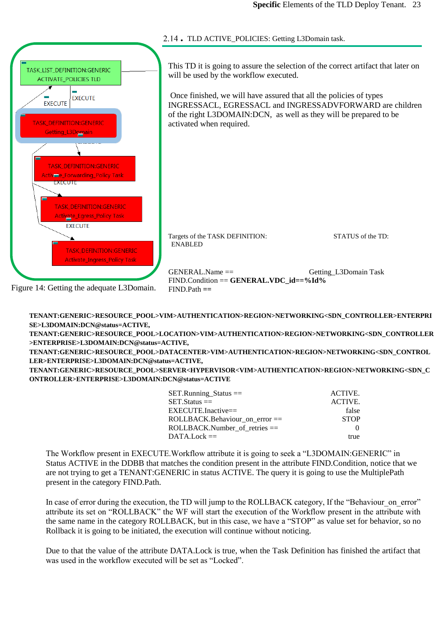<span id="page-22-0"></span>

**TENANT:GENERIC>RESOURCE\_POOL>VIM>AUTHENTICATION>REGION>NETWORKING<SDN\_CONTROLLER>ENTERPRI SE>L3DOMAIN:DCN@status=ACTIVE,**

**TENANT:GENERIC>RESOURCE\_POOL>LOCATION>VIM>AUTHENTICATION>REGION>NETWORKING<SDN\_CONTROLLER >ENTERPRISE>L3DOMAIN:DCN@status=ACTIVE,**

 **TENANT:GENERIC>RESOURCE\_POOL>DATACENTER>VIM>AUTHENTICATION>REGION>NETWORKING<SDN\_CONTROL LER>ENTERPRISE>L3DOMAIN:DCN@status=ACTIVE,**

**TENANT:GENERIC>RESOURCE\_POOL>SERVER<HYPERVISOR<VIM>AUTHENTICATION>REGION>NETWORKING<SDN\_C ONTROLLER>ENTERPRISE>L3DOMAIN:DCN@status=ACTIVE**

| $SET.R$ unning_Status ==           | ACTIVE.     |
|------------------------------------|-------------|
| $SET.S$ tatus $==$                 | ACTIVE.     |
| $EXECTTE-Inactive ==$              | false       |
| $ROLLBACK.Behaviour$ on error $==$ | <b>STOP</b> |
| $ROLLBACK.Number$ of retries $==$  | $\Omega$    |
| $DATA. Lock ==$                    | true        |

The Workflow present in EXECUTE.Workflow attribute it is going to seek a "L3DOMAIN:GENERIC" in Status ACTIVE in the DDBB that matches the condition present in the attribute FIND.Condition, notice that we are not trying to get a TENANT:GENERIC in status ACTIVE. The query it is going to use the MultiplePath present in the category FIND.Path.

In case of error during the execution, the TD will jump to the ROLLBACK category, If the "Behaviour on error" attribute its set on "ROLLBACK" the WF will start the execution of the Workflow present in the attribute with the same name in the category ROLLBACK, but in this case, we have a "STOP" as value set for behavior, so no Rollback it is going to be initiated, the execution will continue without noticing.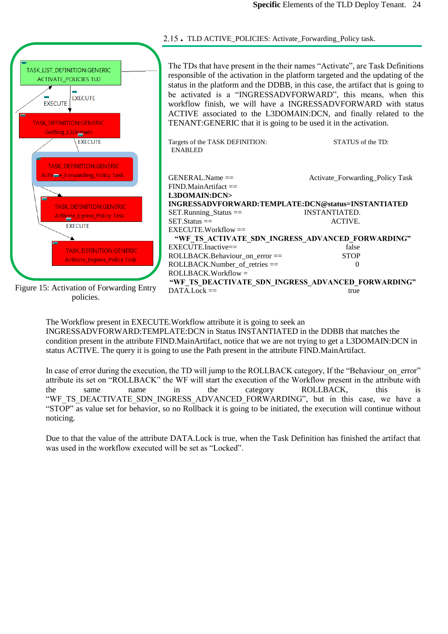<span id="page-23-0"></span>

The Workflow present in EXECUTE.Workflow attribute it is going to seek an INGRESSADVFORWARD:TEMPLATE:DCN in Status INSTANTIATED in the DDBB that matches the condition present in the attribute FIND.MainArtifact, notice that we are not trying to get a L3DOMAIN:DCN in status ACTIVE. The query it is going to use the Path present in the attribute FIND.MainArtifact.

In case of error during the execution, the TD will jump to the ROLLBACK category, If the "Behaviour on error" attribute its set on "ROLLBACK" the WF will start the execution of the Workflow present in the attribute with the same name in the category ROLLBACK, this is "WF\_TS\_DEACTIVATE\_SDN\_INGRESS\_ADVANCED\_FORWARDING", but in this case, we have a "STOP" as value set for behavior, so no Rollback it is going to be initiated, the execution will continue without noticing.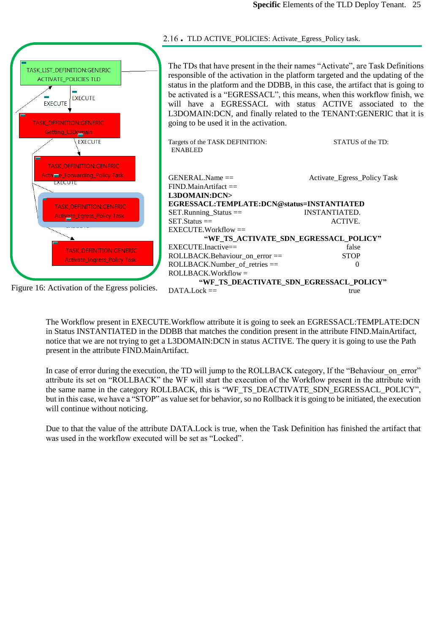<span id="page-24-0"></span>

The Workflow present in EXECUTE.Workflow attribute it is going to seek an EGRESSACL:TEMPLATE:DCN in Status INSTANTIATED in the DDBB that matches the condition present in the attribute FIND.MainArtifact, notice that we are not trying to get a L3DOMAIN:DCN in status ACTIVE. The query it is going to use the Path present in the attribute FIND.MainArtifact.

In case of error during the execution, the TD will jump to the ROLLBACK category, If the "Behaviour on error" attribute its set on "ROLLBACK" the WF will start the execution of the Workflow present in the attribute with the same name in the category ROLLBACK, this is "WF\_TS\_DEACTIVATE\_SDN\_EGRESSACL\_POLICY", but in this case, we have a "STOP" as value set for behavior, so no Rollback it is going to be initiated, the execution will continue without noticing.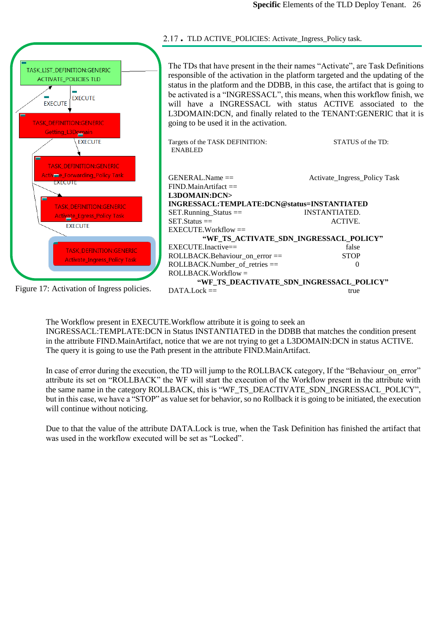<span id="page-25-0"></span>

The Workflow present in EXECUTE.Workflow attribute it is going to seek an INGRESSACL:TEMPLATE:DCN in Status INSTANTIATED in the DDBB that matches the condition present in the attribute FIND.MainArtifact, notice that we are not trying to get a L3DOMAIN:DCN in status ACTIVE. The query it is going to use the Path present in the attribute FIND.MainArtifact.

In case of error during the execution, the TD will jump to the ROLLBACK category, If the "Behaviour on error" attribute its set on "ROLLBACK" the WF will start the execution of the Workflow present in the attribute with the same name in the category ROLLBACK, this is "WF\_TS\_DEACTIVATE\_SDN\_INGRESSACL\_POLICY", but in this case, we have a "STOP" as value set for behavior, so no Rollback it is going to be initiated, the execution will continue without noticing.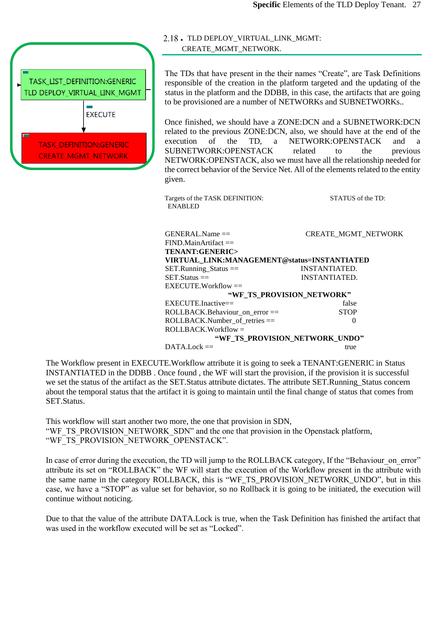

### <span id="page-26-0"></span>. TLD DEPLOY\_VIRTUAL\_LINK\_MGMT: CREATE\_MGMT\_NETWORK.

The TDs that have present in the their names "Create", are Task Definitions responsible of the creation in the platform targeted and the updating of the status in the platform and the DDBB, in this case, the artifacts that are going to be provisioned are a number of NETWORKs and SUBNETWORKs..

Once finished, we should have a ZONE:DCN and a SUBNETWORK:DCN related to the previous ZONE:DCN, also, we should have at the end of the execution of the TD, a NETWORK:OPENSTACK and a SUBNETWORK:OPENSTACK related to the previous NETWORK:OPENSTACK, also we must have all the relationship needed for the correct behavior of the Service Net. All of the elements related to the entity given.

Targets of the TASK DEFINITION: STATUS of the TD: ENABLED

| $GENERAL.Name ==$                           | <b>CREATE MGMT NETWORK</b>     |
|---------------------------------------------|--------------------------------|
| $FIND.MainArtifact =$                       |                                |
| TENANT:GENERIC>                             |                                |
| VIRTUAL LINK:MANAGEMENT@status=INSTANTIATED |                                |
| $SET.R$ unning_Status ==                    | INSTANTIATED.                  |
| $SET.S$ tatus $==$                          | INSTANTIATED.                  |
| $EXECUTE.Workflow =$                        |                                |
|                                             | "WE TS PROVISION NETWORK"      |
| $EXECTTE$ . Inactive==                      | false                          |
| $ROLLBACK.Behaviour$ on error $==$          | <b>STOP</b>                    |
| ROLLBACK.Number_of_retries ==               | $\Omega$                       |
| ROLLBACK.Workflow =                         |                                |
|                                             | "WF TS PROVISION_NETWORK_UNDO" |
| $DATA. Lock ==$                             | true                           |

The Workflow present in EXECUTE.Workflow attribute it is going to seek a TENANT:GENERIC in Status INSTANTIATED in the DDBB . Once found , the WF will start the provision, if the provision it is successful we set the status of the artifact as the SET.Status attribute dictates. The attribute SET.Running\_Status concern about the temporal status that the artifact it is going to maintain until the final change of status that comes from SET.Status.

This workflow will start another two more, the one that provision in SDN, "WF\_TS\_PROVISION\_NETWORK\_SDN" and the one that provision in the Openstack platform, "WF\_TS\_PROVISION\_NETWORK\_OPENSTACK".

In case of error during the execution, the TD will jump to the ROLLBACK category, If the "Behaviour" on error" attribute its set on "ROLLBACK" the WF will start the execution of the Workflow present in the attribute with the same name in the category ROLLBACK, this is "WF\_TS\_PROVISION\_NETWORK\_UNDO", but in this case, we have a "STOP" as value set for behavior, so no Rollback it is going to be initiated, the execution will continue without noticing.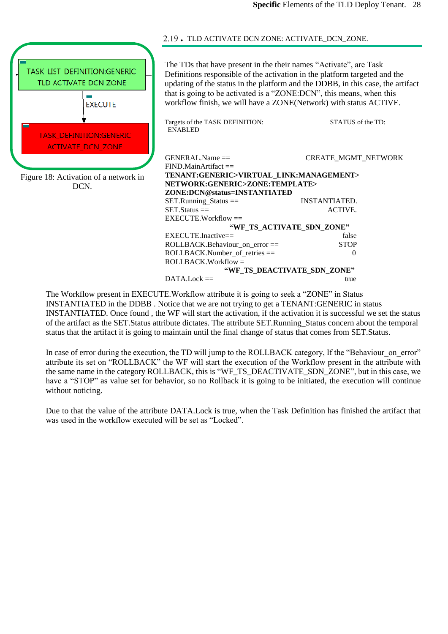

<span id="page-27-0"></span>. TLD ACTIVATE DCN ZONE: ACTIVATE\_DCN\_ZONE.

The TDs that have present in the their names "Activate", are Task Definitions responsible of the activation in the platform targeted and the updating of the status in the platform and the DDBB, in this case, the artifact that is going to be activated is a "ZONE:DCN", this means, when this workflow finish, we will have a ZONE(Network) with status ACTIVE.

|                              | Targets of the TASK DEFINITION:<br><b>ENABLED</b>                                                       | STATUS of the TD:          |  |  |  |
|------------------------------|---------------------------------------------------------------------------------------------------------|----------------------------|--|--|--|
|                              | $GENERAL$ Name $==$<br>$FIND.MainArtifact =$                                                            | <b>CREATE_MGMT_NETWORK</b> |  |  |  |
|                              | TENANT:GENERIC>VIRTUAL_LINK:MANAGEMENT>                                                                 |                            |  |  |  |
|                              | NETWORK:GENERIC>ZONE:TEMPLATE>                                                                          |                            |  |  |  |
| ZONE:DCN@status=INSTANTIATED |                                                                                                         |                            |  |  |  |
|                              | $SET.R$ unning_Status ==                                                                                | INSTANTIATED.              |  |  |  |
|                              | $SET. Status =$                                                                                         | ACTIVE.                    |  |  |  |
|                              | $EXECUTE.Workflow =$                                                                                    |                            |  |  |  |
| "WE TS ACTIVATE SDN ZONE"    |                                                                                                         |                            |  |  |  |
|                              | $EXECTTE$ . Inactive==                                                                                  | false                      |  |  |  |
|                              | $ROLLBACK.Behaviour$ on error $==$                                                                      | <b>STOP</b>                |  |  |  |
|                              | $ROLLBACK.Number$ of retries $==$                                                                       | 0                          |  |  |  |
|                              | $ROLLBACK.Workflow =$                                                                                   |                            |  |  |  |
|                              | "WF TS DEACTIVATE_SDN_ZONE"                                                                             |                            |  |  |  |
|                              | $DATA. Lock ==$                                                                                         | true                       |  |  |  |
|                              | $\alpha$ (TPP $W_{i}$ , 1-0 $\ldots$ , $\mu$ , 1, $\ldots$ ) is the second of $\mu$ (TOMP)) in $\alpha$ |                            |  |  |  |

The Workflow present in EXECUTE.Workflow attribute it is going to seek a "ZONE" in Status INSTANTIATED in the DDBB . Notice that we are not trying to get a TENANT:GENERIC in status INSTANTIATED. Once found , the WF will start the activation, if the activation it is successful we set the status of the artifact as the SET.Status attribute dictates. The attribute SET.Running\_Status concern about the temporal status that the artifact it is going to maintain until the final change of status that comes from SET.Status.

In case of error during the execution, the TD will jump to the ROLLBACK category, If the "Behaviour" on error" attribute its set on "ROLLBACK" the WF will start the execution of the Workflow present in the attribute with the same name in the category ROLLBACK, this is "WF\_TS\_DEACTIVATE\_SDN\_ZONE", but in this case, we have a "STOP" as value set for behavior, so no Rollback it is going to be initiated, the execution will continue without noticing.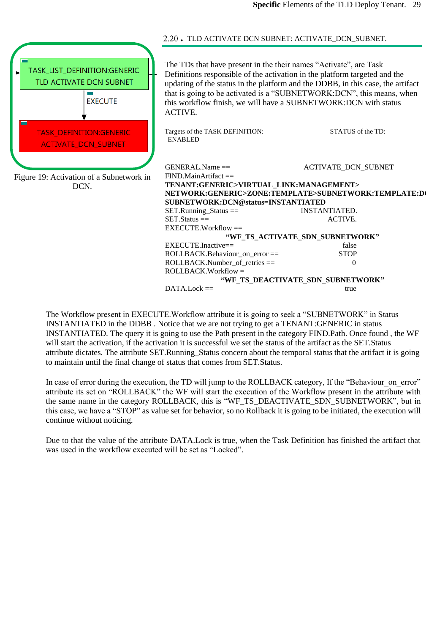<span id="page-28-0"></span>

|                                                                           | 2.20. TLD ACTIVATE DCN SUBNET: ACTIVATE_DCN_SUBNET.                                                                                                                                                                                                                                                                                                                            |                                                                                                            |
|---------------------------------------------------------------------------|--------------------------------------------------------------------------------------------------------------------------------------------------------------------------------------------------------------------------------------------------------------------------------------------------------------------------------------------------------------------------------|------------------------------------------------------------------------------------------------------------|
| TASK_LIST_DEFINITION:GENERIC<br>TLD ACTIVATE DCN SUBNET<br><b>EXECUTE</b> | The TDs that have present in the their names "Activate", are Task<br>Definitions responsible of the activation in the platform targeted and the<br>updating of the status in the platform and the DDBB, in this case, the artifact<br>that is going to be activated is a "SUBNETWORK:DCN", this means, when<br>this workflow finish, we will have a SUBNETWORK:DCN with status |                                                                                                            |
| <b>TASK_DEFINITION:GENERIC</b><br><b>ACTIVATE DCN SUBNET</b>              | <b>ACTIVE.</b><br>Targets of the TASK DEFINITION:<br><b>ENABLED</b>                                                                                                                                                                                                                                                                                                            | STATUS of the TD:                                                                                          |
| Figure 19: Activation of a Subnetwork in<br>DCN.                          | $GENERAL$ . Name $==$<br>$FIND.MainArtifact =$<br>TENANT:GENERIC>VIRTUAL_LINK:MANAGEMENT><br>SUBNETWORK:DCN@status=INSTANTIATED<br>$SET.Runing\_Status ==$                                                                                                                                                                                                                     | <b>ACTIVATE DCN SUBNET</b><br>NETWORK:GENERIC>ZONE:TEMPLATE>SUBNETWORK:TEMPLATE:D0<br><b>INSTANTIATED.</b> |
|                                                                           | $SET. Status =$<br>$EXECUTE.Workflow =$                                                                                                                                                                                                                                                                                                                                        | ACTIVE.                                                                                                    |
|                                                                           | "WF_TS_ACTIVATE_SDN_SUBNETWORK"                                                                                                                                                                                                                                                                                                                                                |                                                                                                            |
|                                                                           | EXECUTE.Inactive==                                                                                                                                                                                                                                                                                                                                                             | false                                                                                                      |
|                                                                           | ROLLBACK.Behaviour_on_error ==                                                                                                                                                                                                                                                                                                                                                 | <b>STOP</b>                                                                                                |
|                                                                           | $ROLLBACK.Number$ of retries $==$                                                                                                                                                                                                                                                                                                                                              | $\Omega$                                                                                                   |
|                                                                           | ROLLBACK.Workflow =                                                                                                                                                                                                                                                                                                                                                            |                                                                                                            |
|                                                                           |                                                                                                                                                                                                                                                                                                                                                                                | "WF_TS_DEACTIVATE_SDN_SUBNETWORK"                                                                          |
|                                                                           | $DATA. Lock ==$                                                                                                                                                                                                                                                                                                                                                                | true                                                                                                       |

The Workflow present in EXECUTE.Workflow attribute it is going to seek a "SUBNETWORK" in Status INSTANTIATED in the DDBB . Notice that we are not trying to get a TENANT:GENERIC in status INSTANTIATED. The query it is going to use the Path present in the category FIND.Path. Once found , the WF will start the activation, if the activation it is successful we set the status of the artifact as the SET.Status attribute dictates. The attribute SET.Running\_Status concern about the temporal status that the artifact it is going to maintain until the final change of status that comes from SET.Status.

In case of error during the execution, the TD will jump to the ROLLBACK category, If the "Behaviour on error" attribute its set on "ROLLBACK" the WF will start the execution of the Workflow present in the attribute with the same name in the category ROLLBACK, this is "WF\_TS\_DEACTIVATE\_SDN\_SUBNETWORK", but in this case, we have a "STOP" as value set for behavior, so no Rollback it is going to be initiated, the execution will continue without noticing.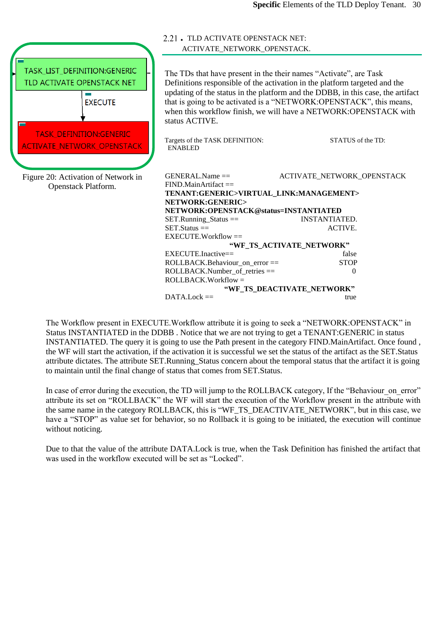<span id="page-29-0"></span>

|                                                                                                                | 2.21. TLD ACTIVATE OPENSTACK NET:<br>ACTIVATE_NETWORK_OPENSTACK.                                                                                                           |                                                                                                                                                                                                                                                                                                                               |
|----------------------------------------------------------------------------------------------------------------|----------------------------------------------------------------------------------------------------------------------------------------------------------------------------|-------------------------------------------------------------------------------------------------------------------------------------------------------------------------------------------------------------------------------------------------------------------------------------------------------------------------------|
| TASK_LIST_DEFINITION:GENERIC<br>TLD ACTIVATE OPENSTACK NET<br><b>EXECUTE</b><br><b>TASK_DEFINITION:GENERIC</b> | The TDs that have present in the their names "Activate", are Task<br>status ACTIVE.<br>Targets of the TASK DEFINITION:                                                     | Definitions responsible of the activation in the platform targeted and the<br>updating of the status in the platform and the DDBB, in this case, the artifact<br>that is going to be activated is a "NETWORK:OPENSTACK", this means,<br>when this workflow finish, we will have a NETWORK:OPENSTACK with<br>STATUS of the TD: |
| <b>ACTIVATE_NETWORK_OPENSTACK</b>                                                                              | <b>ENABLED</b>                                                                                                                                                             |                                                                                                                                                                                                                                                                                                                               |
| Figure 20: Activation of Network in<br>Openstack Platform.                                                     | GENERAL.Name ==<br>$FIND.MainArtifact =$<br>TENANT:GENERIC>VIRTUAL_LINK:MANAGEMENT><br>NETWORK:GENERIC><br>NETWORK:OPENSTACK@status=INSTANTIATED<br>$SET.Running_Status =$ | ACTIVATE_NETWORK_OPENSTACK<br><b>INSTANTIATED.</b>                                                                                                                                                                                                                                                                            |
|                                                                                                                | $SET. Status =$                                                                                                                                                            | ACTIVE.                                                                                                                                                                                                                                                                                                                       |
|                                                                                                                | EXECUTE.Workflow ==                                                                                                                                                        |                                                                                                                                                                                                                                                                                                                               |
|                                                                                                                | $EXECUTE$ . Inactive==                                                                                                                                                     | "WF_TS_ACTIVATE_NETWORK"<br>false                                                                                                                                                                                                                                                                                             |
|                                                                                                                | ROLLBACK.Behaviour on error ==                                                                                                                                             | <b>STOP</b>                                                                                                                                                                                                                                                                                                                   |
|                                                                                                                | ROLLBACK.Number_of_retries ==<br>$ROLLBACK.Workflow =$                                                                                                                     | $\Omega$                                                                                                                                                                                                                                                                                                                      |
|                                                                                                                |                                                                                                                                                                            | "WF_TS_DEACTIVATE_NETWORK"                                                                                                                                                                                                                                                                                                    |
|                                                                                                                | $DATA. Lock ==$                                                                                                                                                            | true                                                                                                                                                                                                                                                                                                                          |

The Workflow present in EXECUTE.Workflow attribute it is going to seek a "NETWORK:OPENSTACK" in Status INSTANTIATED in the DDBB . Notice that we are not trying to get a TENANT:GENERIC in status INSTANTIATED. The query it is going to use the Path present in the category FIND.MainArtifact. Once found , the WF will start the activation, if the activation it is successful we set the status of the artifact as the SET.Status attribute dictates. The attribute SET.Running\_Status concern about the temporal status that the artifact it is going to maintain until the final change of status that comes from SET.Status.

In case of error during the execution, the TD will jump to the ROLLBACK category, If the "Behaviour on error" attribute its set on "ROLLBACK" the WF will start the execution of the Workflow present in the attribute with the same name in the category ROLLBACK, this is "WF\_TS\_DEACTIVATE\_NETWORK", but in this case, we have a "STOP" as value set for behavior, so no Rollback it is going to be initiated, the execution will continue without noticing.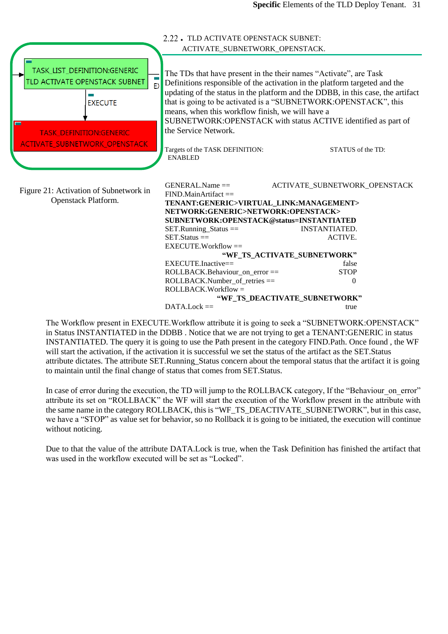<span id="page-30-0"></span>

The Workflow present in EXECUTE.Workflow attribute it is going to seek a "SUBNETWORK:OPENSTACK" in Status INSTANTIATED in the DDBB . Notice that we are not trying to get a TENANT:GENERIC in status INSTANTIATED. The query it is going to use the Path present in the category FIND.Path. Once found , the WF will start the activation, if the activation it is successful we set the status of the artifact as the SET. Status attribute dictates. The attribute SET.Running\_Status concern about the temporal status that the artifact it is going to maintain until the final change of status that comes from SET.Status.

In case of error during the execution, the TD will jump to the ROLLBACK category, If the "Behaviour" on error" attribute its set on "ROLLBACK" the WF will start the execution of the Workflow present in the attribute with the same name in the category ROLLBACK, this is "WF\_TS\_DEACTIVATE\_SUBNETWORK", but in this case, we have a "STOP" as value set for behavior, so no Rollback it is going to be initiated, the execution will continue without noticing.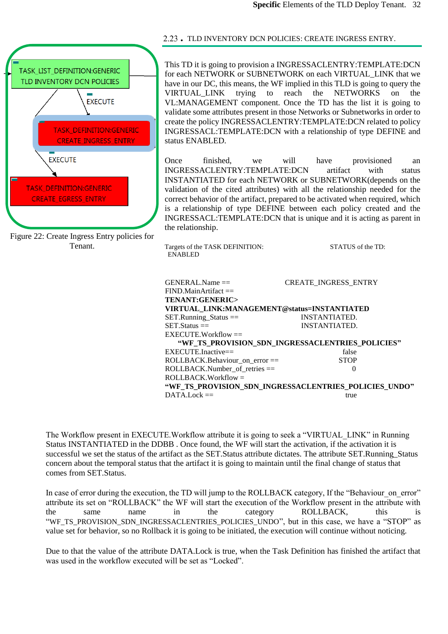

Figure 22: Create Ingress Entry policies for Tenant.

<span id="page-31-0"></span>. TLD INVENTORY DCN POLICIES: CREATE INGRESS ENTRY.

This TD it is going to provision a INGRESSACLENTRY:TEMPLATE:DCN for each NETWORK or SUBNETWORK on each VIRTUAL\_LINK that we have in our DC, this means, the WF implied in this TLD is going to query the VIRTUAL\_LINK trying to reach the NETWORKS on the VL:MANAGEMENT component. Once the TD has the list it is going to validate some attributes present in those Networks or Subnetworks in order to create the policy INGRESSACLENTRY:TEMPLATE:DCN related to policy INGRESSACL:TEMPLATE:DCN with a relationship of type DEFINE and status ENABLED.

Once finished, we will have provisioned an INGRESSACLENTRY:TEMPLATE:DCN artifact with status INSTANTIATED for each NETWORK or SUBNETWORK(depends on the validation of the cited attributes) with all the relationship needed for the correct behavior of the artifact, prepared to be activated when required, which is a relationship of type DEFINE between each policy created and the INGRESSACL:TEMPLATE:DCN that is unique and it is acting as parent in the relationship.

Targets of the TASK DEFINITION: STATUS of the TD: ENABLED

| $GENERALName =$                             | <b>CREATE INGRESS ENTRY</b>                           |  |  |  |
|---------------------------------------------|-------------------------------------------------------|--|--|--|
| $FIND.MainArtifact =$                       |                                                       |  |  |  |
| TENANT:GENERIC>                             |                                                       |  |  |  |
| VIRTUAL LINK:MANAGEMENT@status=INSTANTIATED |                                                       |  |  |  |
| $SET.R$ unning_Status ==                    | INSTANTIATED.                                         |  |  |  |
| $SET. Status =$                             | INSTANTIATED.                                         |  |  |  |
| $EXECTTE. Work flow =$                      |                                                       |  |  |  |
|                                             | "WF TS PROVISION SDN INGRESSACLENTRIES POLICIES"      |  |  |  |
| $EXECTTE-Inactive =$                        | false                                                 |  |  |  |
| $ROLLBACK.Behaviour$ on error $==$          | <b>STOP</b>                                           |  |  |  |
| $ROLLBACK.Number$ of retries $==$           | $\mathbf{O}$                                          |  |  |  |
| $ROLLBACK.Workflow =$                       |                                                       |  |  |  |
|                                             | "WF TS PROVISION SDN INGRESSACLENTRIES POLICIES UNDO" |  |  |  |
| $DATA. Lock ==$                             | true                                                  |  |  |  |

The Workflow present in EXECUTE.Workflow attribute it is going to seek a "VIRTUAL\_LINK" in Running Status INSTANTIATED in the DDBB . Once found, the WF will start the activation, if the activation it is successful we set the status of the artifact as the SET. Status attribute dictates. The attribute SET. Running Status concern about the temporal status that the artifact it is going to maintain until the final change of status that comes from SET.Status.

In case of error during the execution, the TD will jump to the ROLLBACK category, If the "Behaviour" on error" attribute its set on "ROLLBACK" the WF will start the execution of the Workflow present in the attribute with the same name in the category ROLLBACK, this is "WF\_TS\_PROVISION\_SDN\_INGRESSACLENTRIES\_POLICIES\_UNDO", but in this case, we have a "STOP" as value set for behavior, so no Rollback it is going to be initiated, the execution will continue without noticing.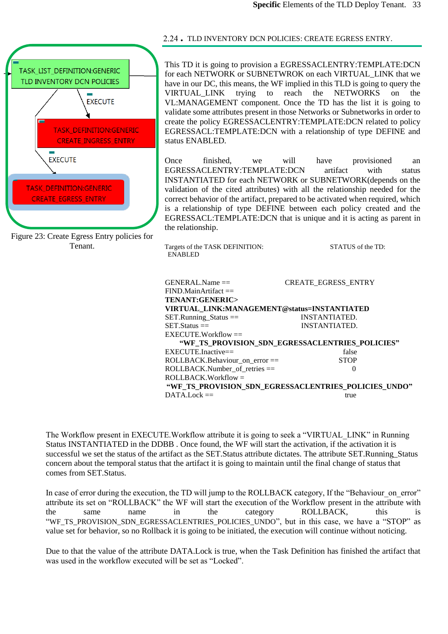

Figure 23: Create Egress Entry policies for Tenant.

### <span id="page-32-0"></span>. TLD INVENTORY DCN POLICIES: CREATE EGRESS ENTRY.

This TD it is going to provision a EGRESSACLENTRY:TEMPLATE:DCN for each NETWORK or SUBNETWROK on each VIRTUAL\_LINK that we have in our DC, this means, the WF implied in this TLD is going to query the VIRTUAL\_LINK trying to reach the NETWORKS on the VL:MANAGEMENT component. Once the TD has the list it is going to validate some attributes present in those Networks or Subnetworks in order to create the policy EGRESSACLENTRY:TEMPLATE:DCN related to policy EGRESSACL:TEMPLATE:DCN with a relationship of type DEFINE and status ENABLED.

Once finished, we will have provisioned an EGRESSACLENTRY:TEMPLATE:DCN artifact with status INSTANTIATED for each NETWORK or SUBNETWORK(depends on the validation of the cited attributes) with all the relationship needed for the correct behavior of the artifact, prepared to be activated when required, which is a relationship of type DEFINE between each policy created and the EGRESSACL:TEMPLATE:DCN that is unique and it is acting as parent in the relationship.

Targets of the TASK DEFINITION: STATUS of the TD: ENABLED

| $GENERALName =$                                      | <b>CREATE_EGRESS_ENTRY</b> |  |  |
|------------------------------------------------------|----------------------------|--|--|
| $FIND.MainArtifact =$                                |                            |  |  |
| TENANT:GENERIC>                                      |                            |  |  |
| VIRTUAL LINK:MANAGEMENT@status=INSTANTIATED          |                            |  |  |
| SET.Running_Status ==                                | INSTANTIATED.              |  |  |
| $SET$ Status $==$                                    | <b>INSTANTIATED.</b>       |  |  |
| $EXECUTE.Workflow =$                                 |                            |  |  |
| "WE TS PROVISION SDN EGRESSACLENTRIES POLICIES"      |                            |  |  |
| $EXECTITE$ Inactive==                                | false                      |  |  |
| ROLLBACK.Behaviour on error $==$                     | <b>STOP</b>                |  |  |
| $ROLLBACK.Number$ of retries $==$                    | $\Omega$                   |  |  |
| $ROLLBACK.Workflow =$                                |                            |  |  |
| "WF TS PROVISION SDN EGRESSACLENTRIES POLICIES UNDO" |                            |  |  |
| $DATA. Lock ==$                                      | true                       |  |  |

The Workflow present in EXECUTE.Workflow attribute it is going to seek a "VIRTUAL\_LINK" in Running Status INSTANTIATED in the DDBB . Once found, the WF will start the activation, if the activation it is successful we set the status of the artifact as the SET. Status attribute dictates. The attribute SET. Running Status concern about the temporal status that the artifact it is going to maintain until the final change of status that comes from SET.Status.

In case of error during the execution, the TD will jump to the ROLLBACK category, If the "Behaviour" on error" attribute its set on "ROLLBACK" the WF will start the execution of the Workflow present in the attribute with the same name in the category ROLLBACK, this is "WF\_TS\_PROVISION\_SDN\_EGRESSACLENTRIES\_POLICIES\_UNDO", but in this case, we have a "STOP" as value set for behavior, so no Rollback it is going to be initiated, the execution will continue without noticing.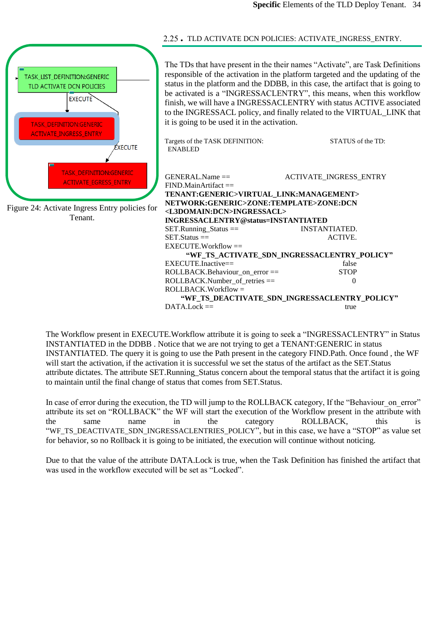

<span id="page-33-0"></span>. TLD ACTIVATE DCN POLICIES: ACTIVATE\_INGRESS\_ENTRY.

The TDs that have present in the their names "Activate", are Task Definitions responsible of the activation in the platform targeted and the updating of the status in the platform and the DDBB, in this case, the artifact that is going to be activated is a "INGRESSACLENTRY", this means, when this workflow finish, we will have a INGRESSACLENTRY with status ACTIVE associated to the INGRESSACL policy, and finally related to the VIRTUAL\_LINK that it is going to be used it in the activation.

**"WF\_TS\_ACTIVATE\_SDN\_INGRESSACLENTRY\_POLICY"** EXECUTE.Inactive== false<br>ROLLBACK.Behaviour on error == 5TOP ROLLBACK.Behaviour on error  $==$  $\text{ROLLBACK}$ . Number\_of\_retries == 0 ROLLBACK.Workflow = **"WF\_TS\_DEACTIVATE\_SDN\_INGRESSACLENTRY\_POLICY"**  $DATA.Lock ==$ 

The Workflow present in EXECUTE.Workflow attribute it is going to seek a "INGRESSACLENTRY" in Status INSTANTIATED in the DDBB . Notice that we are not trying to get a TENANT:GENERIC in status INSTANTIATED. The query it is going to use the Path present in the category FIND.Path. Once found , the WF will start the activation, if the activation it is successful we set the status of the artifact as the SET. Status attribute dictates. The attribute SET.Running\_Status concern about the temporal status that the artifact it is going to maintain until the final change of status that comes from SET.Status.

In case of error during the execution, the TD will jump to the ROLLBACK category, If the "Behaviour" on error" attribute its set on "ROLLBACK" the WF will start the execution of the Workflow present in the attribute with the same name in the category ROLLBACK, this is "WF\_TS\_DEACTIVATE\_SDN\_INGRESSACLENTRIES\_POLICY", but in this case, we have a "STOP" as value set for behavior, so no Rollback it is going to be initiated, the execution will continue without noticing.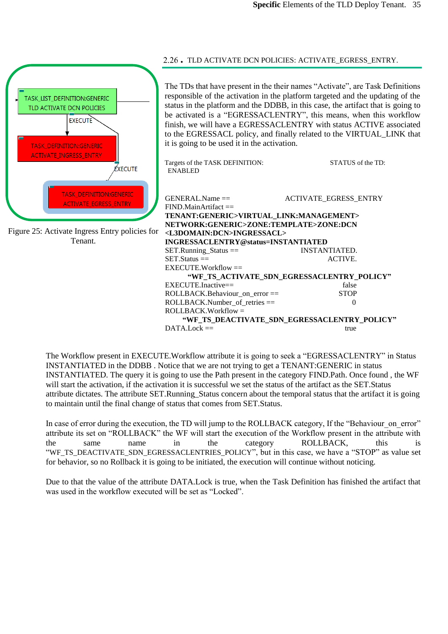

The Workflow present in EXECUTE.Workflow attribute it is going to seek a "EGRESSACLENTRY" in Status INSTANTIATED in the DDBB . Notice that we are not trying to get a TENANT:GENERIC in status INSTANTIATED. The query it is going to use the Path present in the category FIND.Path. Once found , the WF will start the activation, if the activation it is successful we set the status of the artifact as the SET. Status attribute dictates. The attribute SET.Running\_Status concern about the temporal status that the artifact it is going to maintain until the final change of status that comes from SET.Status.

In case of error during the execution, the TD will jump to the ROLLBACK category, If the "Behaviour on error" attribute its set on "ROLLBACK" the WF will start the execution of the Workflow present in the attribute with the same name in the category ROLLBACK, this is "WF\_TS\_DEACTIVATE\_SDN\_EGRESSACLENTRIES\_POLICY", but in this case, we have a "STOP" as value set for behavior, so no Rollback it is going to be initiated, the execution will continue without noticing.

Due to that the value of the attribute DATA.Lock is true, when the Task Definition has finished the artifact that was used in the workflow executed will be set as "Locked".

#### <span id="page-34-0"></span>. TLD ACTIVATE DCN POLICIES: ACTIVATE\_EGRESS\_ENTRY.

The TDs that have present in the their names "Activate", are Task Definitions responsible of the activation in the platform targeted and the updating of the status in the platform and the DDBB, in this case, the artifact that is going to be activated is a "EGRESSACLENTRY", this means, when this workflow finish, we will have a EGRESSACLENTRY with status ACTIVE associated to the EGRESSACL policy, and finally related to the VIRTUAL\_LINK that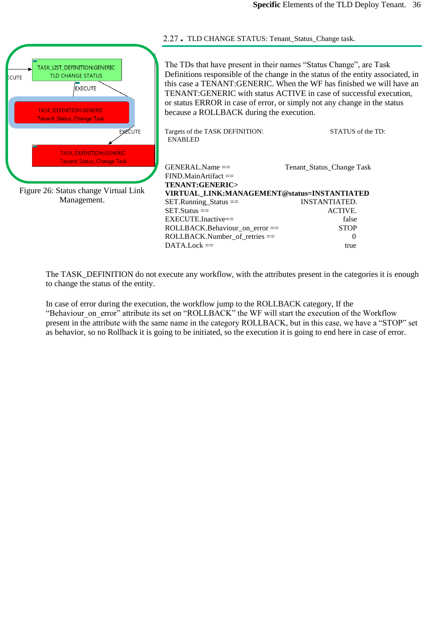

Management.

<span id="page-35-0"></span>. TLD CHANGE STATUS: Tenant\_Status\_Change task.

The TDs that have present in their names "Status Change", are Task Definitions responsible of the change in the status of the entity associated, in this case a TENANT:GENERIC. When the WF has finished we will have an TENANT:GENERIC with status ACTIVE in case of successful execution, or status ERROR in case of error, or simply not any change in the status because a ROLLBACK during the execution.

| Targets of the TASK DEFINITION:<br><b>ENABLED</b>           | STATUS of the TD:                                                     |
|-------------------------------------------------------------|-----------------------------------------------------------------------|
| $GENERALName =$<br>$FIND.MainArtifact =$<br>TENANT:GENERIC> | Tenant_Status_Change Task                                             |
|                                                             |                                                                       |
|                                                             | <b>INSTANTIATED.</b>                                                  |
| $SET.Status =$                                              | ACTIVE.                                                               |
| $EXECTTE-Inactive ==$                                       | false                                                                 |
| $ROLLBACK.Behaviour$ on error $==$                          | <b>STOP</b>                                                           |
| $ROLLBACK.Number$ of retries $==$                           | $\mathcal{O}$                                                         |
| $DATA.Lock ==$                                              | true                                                                  |
|                                                             | VIRTUAL LINK:MANAGEMENT@status=INSTANTIATED<br>$SET.Runing_ Status =$ |

The TASK\_DEFINITION do not execute any workflow, with the attributes present in the categories it is enough to change the status of the entity.

In case of error during the execution, the workflow jump to the ROLLBACK category, If the "Behaviour on error" attribute its set on "ROLLBACK" the WF will start the execution of the Workflow present in the attribute with the same name in the category ROLLBACK, but in this case, we have a "STOP" set as behavior, so no Rollback it is going to be initiated, so the execution it is going to end here in case of error.